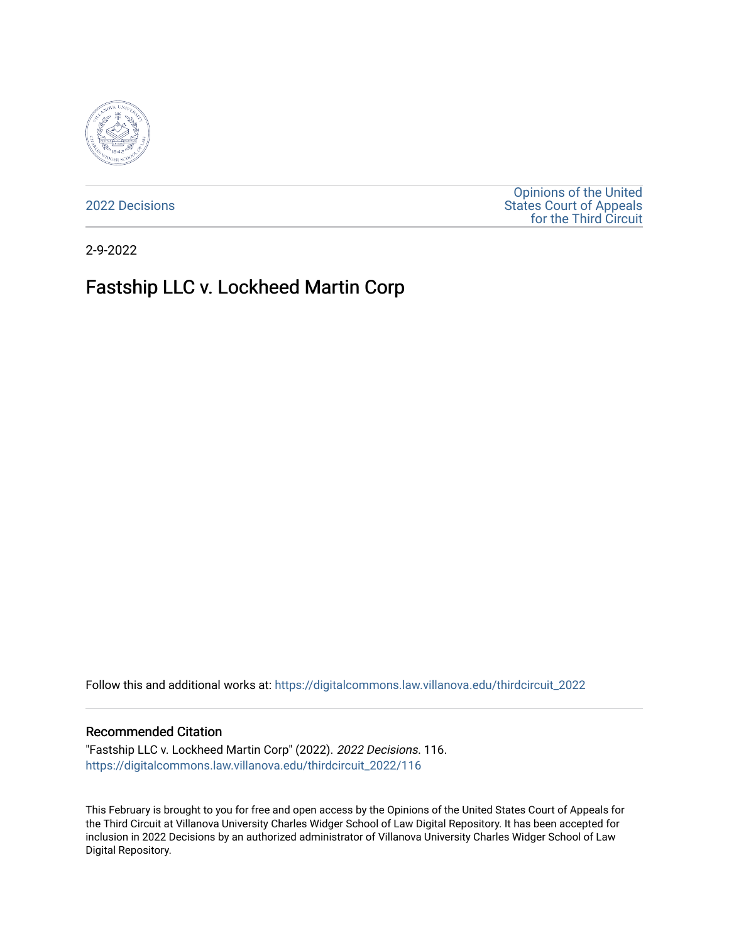

[2022 Decisions](https://digitalcommons.law.villanova.edu/thirdcircuit_2022)

[Opinions of the United](https://digitalcommons.law.villanova.edu/thirdcircuit)  [States Court of Appeals](https://digitalcommons.law.villanova.edu/thirdcircuit)  [for the Third Circuit](https://digitalcommons.law.villanova.edu/thirdcircuit) 

2-9-2022

# Fastship LLC v. Lockheed Martin Corp

Follow this and additional works at: [https://digitalcommons.law.villanova.edu/thirdcircuit\\_2022](https://digitalcommons.law.villanova.edu/thirdcircuit_2022?utm_source=digitalcommons.law.villanova.edu%2Fthirdcircuit_2022%2F116&utm_medium=PDF&utm_campaign=PDFCoverPages) 

#### Recommended Citation

"Fastship LLC v. Lockheed Martin Corp" (2022). 2022 Decisions. 116. [https://digitalcommons.law.villanova.edu/thirdcircuit\\_2022/116](https://digitalcommons.law.villanova.edu/thirdcircuit_2022/116?utm_source=digitalcommons.law.villanova.edu%2Fthirdcircuit_2022%2F116&utm_medium=PDF&utm_campaign=PDFCoverPages)

This February is brought to you for free and open access by the Opinions of the United States Court of Appeals for the Third Circuit at Villanova University Charles Widger School of Law Digital Repository. It has been accepted for inclusion in 2022 Decisions by an authorized administrator of Villanova University Charles Widger School of Law Digital Repository.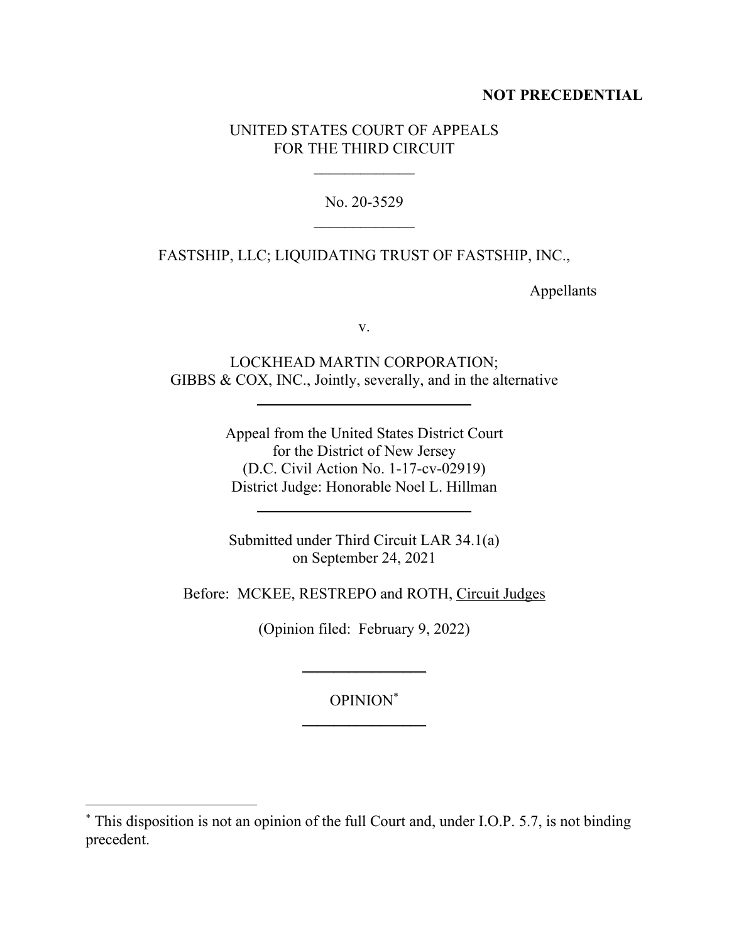### **NOT PRECEDENTIAL**

### UNITED STATES COURT OF APPEALS FOR THE THIRD CIRCUIT

No. 20-3529

FASTSHIP, LLC; LIQUIDATING TRUST OF FASTSHIP, INC.,

Appellants

v.

LOCKHEAD MARTIN CORPORATION; GIBBS & COX, INC., Jointly, severally, and in the alternative

> Appeal from the United States District Court for the District of New Jersey (D.C. Civil Action No. 1-17-cv-02919) District Judge: Honorable Noel L. Hillman

Submitted under Third Circuit LAR 34.1(a) on September 24, 2021

Before: MCKEE, RESTREPO and ROTH, Circuit Judges

(Opinion filed: February 9, 2022)

 $\frac{1}{2}$ 

OPINION\*  $\frac{1}{2}$ 

<sup>\*</sup> This disposition is not an opinion of the full Court and, under I.O.P. 5.7, is not binding precedent.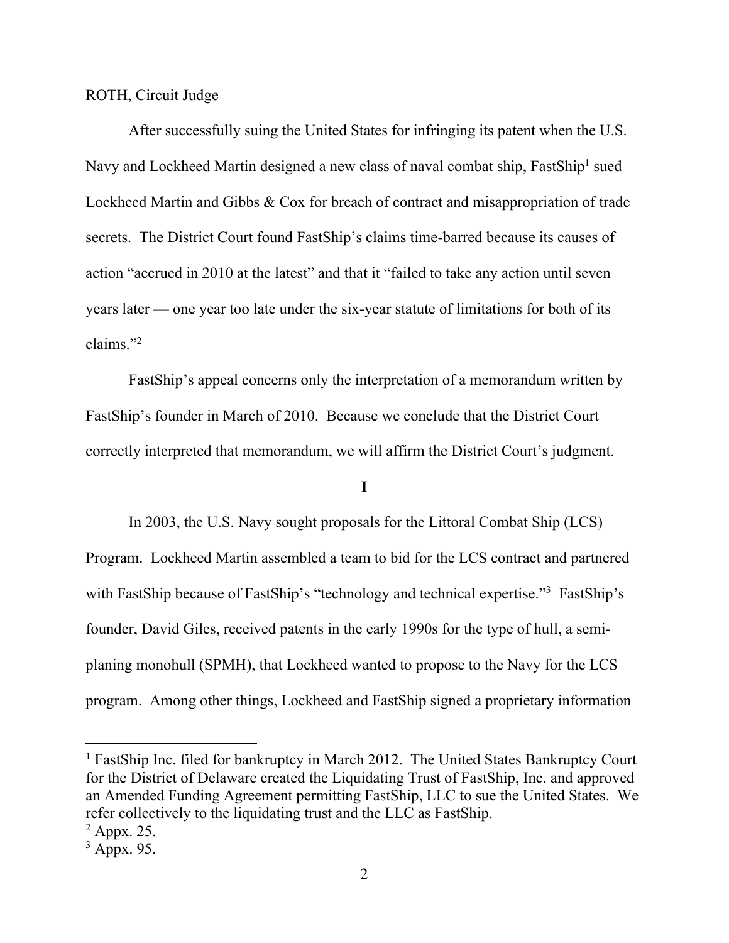ROTH, Circuit Judge

After successfully suing the United States for infringing its patent when the U.S. Navy and Lockheed Martin designed a new class of naval combat ship, FastShip<sup>1</sup> sued Lockheed Martin and Gibbs & Cox for breach of contract and misappropriation of trade secrets. The District Court found FastShip's claims time-barred because its causes of action "accrued in 2010 at the latest" and that it "failed to take any action until seven years later — one year too late under the six-year statute of limitations for both of its claims."<sup>2</sup>

FastShip's appeal concerns only the interpretation of a memorandum written by FastShip's founder in March of 2010. Because we conclude that the District Court correctly interpreted that memorandum, we will affirm the District Court's judgment.

# **I**

In 2003, the U.S. Navy sought proposals for the Littoral Combat Ship (LCS) Program. Lockheed Martin assembled a team to bid for the LCS contract and partnered with FastShip because of FastShip's "technology and technical expertise."<sup>3</sup> FastShip's founder, David Giles, received patents in the early 1990s for the type of hull, a semiplaning monohull (SPMH), that Lockheed wanted to propose to the Navy for the LCS program. Among other things, Lockheed and FastShip signed a proprietary information

<sup>&</sup>lt;sup>1</sup> FastShip Inc. filed for bankruptcy in March 2012. The United States Bankruptcy Court for the District of Delaware created the Liquidating Trust of FastShip, Inc. and approved an Amended Funding Agreement permitting FastShip, LLC to sue the United States. We refer collectively to the liquidating trust and the LLC as FastShip.

 $<sup>2</sup>$  Appx. 25.</sup>

 $3$  Appx. 95.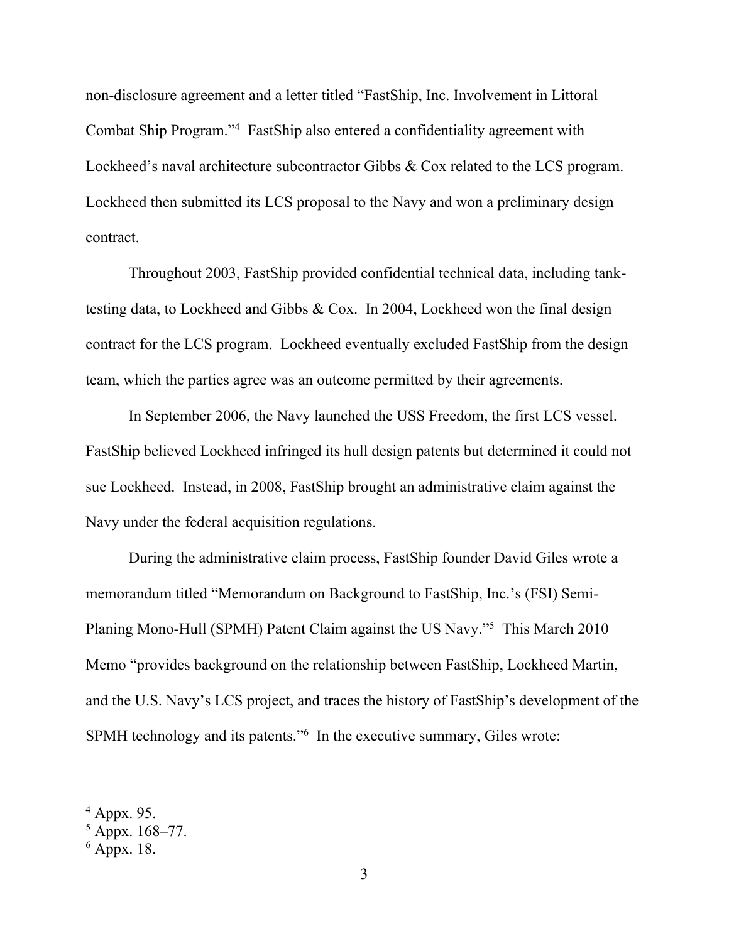non-disclosure agreement and a letter titled "FastShip, Inc. Involvement in Littoral Combat Ship Program."<sup>4</sup> FastShip also entered a confidentiality agreement with Lockheed's naval architecture subcontractor Gibbs & Cox related to the LCS program. Lockheed then submitted its LCS proposal to the Navy and won a preliminary design contract.

Throughout 2003, FastShip provided confidential technical data, including tanktesting data, to Lockheed and Gibbs & Cox. In 2004, Lockheed won the final design contract for the LCS program. Lockheed eventually excluded FastShip from the design team, which the parties agree was an outcome permitted by their agreements.

In September 2006, the Navy launched the USS Freedom, the first LCS vessel. FastShip believed Lockheed infringed its hull design patents but determined it could not sue Lockheed. Instead, in 2008, FastShip brought an administrative claim against the Navy under the federal acquisition regulations.

During the administrative claim process, FastShip founder David Giles wrote a memorandum titled "Memorandum on Background to FastShip, Inc.'s (FSI) Semi-Planing Mono-Hull (SPMH) Patent Claim against the US Navy."<sup>5</sup> This March 2010 Memo "provides background on the relationship between FastShip, Lockheed Martin, and the U.S. Navy's LCS project, and traces the history of FastShip's development of the SPMH technology and its patents."<sup>6</sup> In the executive summary, Giles wrote:

<sup>4</sup> Appx. 95.

 $5$  Appx. 168–77.

 $6$  Appx. 18.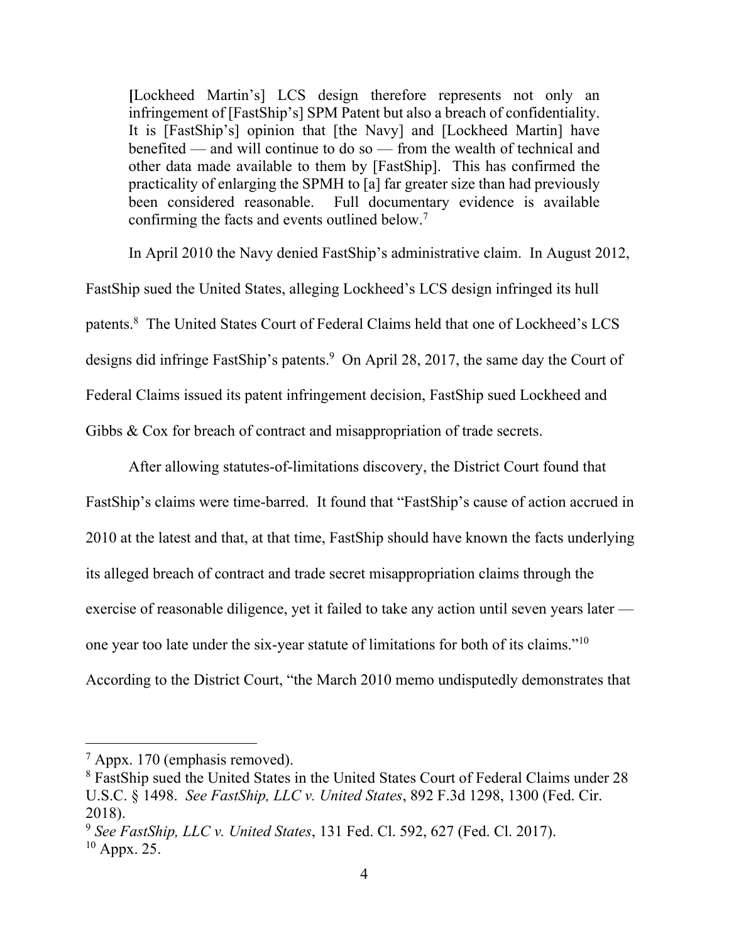**[**Lockheed Martin's] LCS design therefore represents not only an infringement of [FastShip's] SPM Patent but also a breach of confidentiality. It is [FastShip's] opinion that [the Navy] and [Lockheed Martin] have benefited — and will continue to do so — from the wealth of technical and other data made available to them by [FastShip]. This has confirmed the practicality of enlarging the SPMH to [a] far greater size than had previously been considered reasonable. Full documentary evidence is available confirming the facts and events outlined below.<sup>7</sup>

In April 2010 the Navy denied FastShip's administrative claim. In August 2012, FastShip sued the United States, alleging Lockheed's LCS design infringed its hull patents.<sup>8</sup> The United States Court of Federal Claims held that one of Lockheed's LCS designs did infringe FastShip's patents.<sup>9</sup> On April 28, 2017, the same day the Court of Federal Claims issued its patent infringement decision, FastShip sued Lockheed and Gibbs & Cox for breach of contract and misappropriation of trade secrets.

After allowing statutes-of-limitations discovery, the District Court found that FastShip's claims were time-barred. It found that "FastShip's cause of action accrued in 2010 at the latest and that, at that time, FastShip should have known the facts underlying its alleged breach of contract and trade secret misappropriation claims through the exercise of reasonable diligence, yet it failed to take any action until seven years later one year too late under the six-year statute of limitations for both of its claims."<sup>10</sup> According to the District Court, "the March 2010 memo undisputedly demonstrates that

 $7$  Appx. 170 (emphasis removed).

<sup>8</sup> FastShip sued the United States in the United States Court of Federal Claims under 28 U.S.C. § 1498. *See FastShip, LLC v. United States*, 892 F.3d 1298, 1300 (Fed. Cir. 2018).

<sup>9</sup> *See FastShip, LLC v. United States*, 131 Fed. Cl. 592, 627 (Fed. Cl. 2017).  $10$  Appx. 25.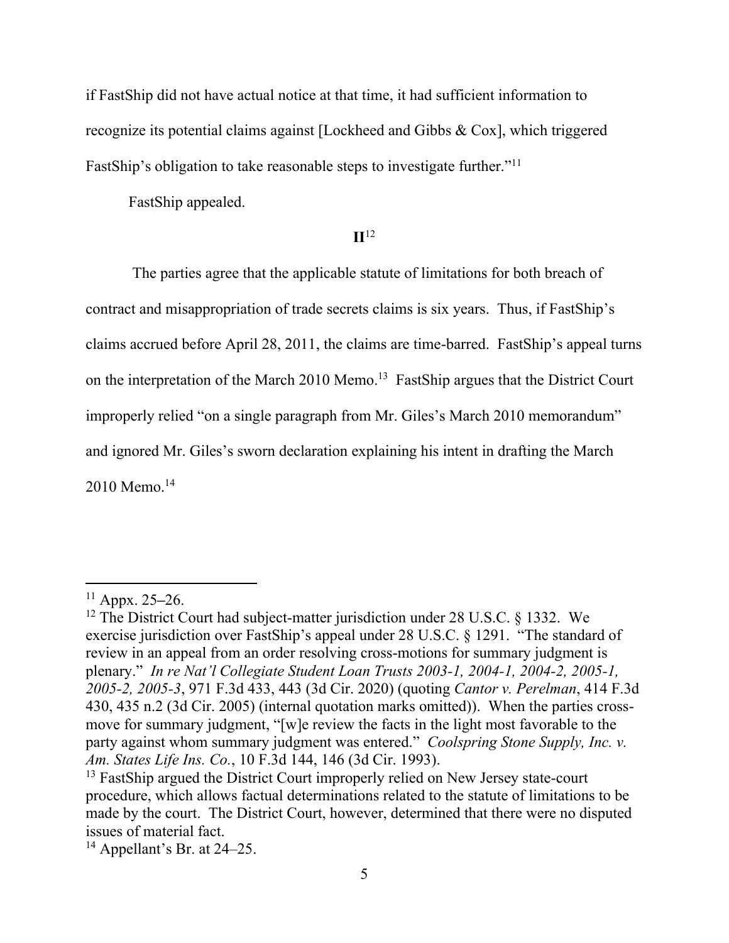if FastShip did not have actual notice at that time, it had sufficient information to recognize its potential claims against [Lockheed and Gibbs & Cox], which triggered FastShip's obligation to take reasonable steps to investigate further."<sup>11</sup>

FastShip appealed.

## **II**<sup>12</sup>

The parties agree that the applicable statute of limitations for both breach of contract and misappropriation of trade secrets claims is six years. Thus, if FastShip's claims accrued before April 28, 2011, the claims are time-barred. FastShip's appeal turns on the interpretation of the March 2010 Memo.<sup>13</sup> FastShip argues that the District Court improperly relied "on a single paragraph from Mr. Giles's March 2010 memorandum" and ignored Mr. Giles's sworn declaration explaining his intent in drafting the March 2010 Memo. 14

<sup>11</sup> Appx. 25**–**26.

<sup>&</sup>lt;sup>12</sup> The District Court had subject-matter jurisdiction under 28 U.S.C.  $\S$  1332. We exercise jurisdiction over FastShip's appeal under 28 U.S.C. § 1291. "The standard of review in an appeal from an order resolving cross-motions for summary judgment is plenary." *In re Nat'l Collegiate Student Loan Trusts 2003-1, 2004-1, 2004-2, 2005-1, 2005-2, 2005-3*, 971 F.3d 433, 443 (3d Cir. 2020) (quoting *Cantor v. Perelman*, 414 F.3d 430, 435 n.2 (3d Cir. 2005) (internal quotation marks omitted)). When the parties crossmove for summary judgment, "[w]e review the facts in the light most favorable to the party against whom summary judgment was entered." *Coolspring Stone Supply, Inc. v. Am. States Life Ins. Co.*, 10 F.3d 144, 146 (3d Cir. 1993).

<sup>&</sup>lt;sup>13</sup> FastShip argued the District Court improperly relied on New Jersey state-court procedure, which allows factual determinations related to the statute of limitations to be made by the court. The District Court, however, determined that there were no disputed issues of material fact.

 $14$  Appellant's Br. at 24–25.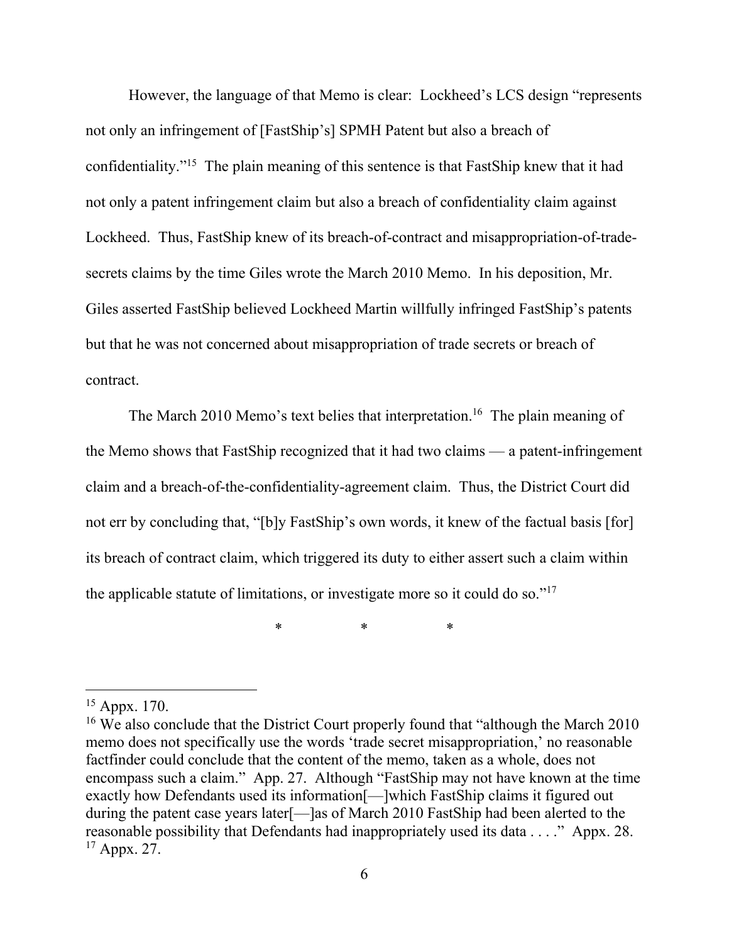However, the language of that Memo is clear: Lockheed's LCS design "represents not only an infringement of [FastShip's] SPMH Patent but also a breach of confidentiality."<sup>15</sup> The plain meaning of this sentence is that FastShip knew that it had not only a patent infringement claim but also a breach of confidentiality claim against Lockheed. Thus, FastShip knew of its breach-of-contract and misappropriation-of-tradesecrets claims by the time Giles wrote the March 2010 Memo. In his deposition, Mr. Giles asserted FastShip believed Lockheed Martin willfully infringed FastShip's patents but that he was not concerned about misappropriation of trade secrets or breach of contract.

The March 2010 Memo's text belies that interpretation.<sup>16</sup> The plain meaning of the Memo shows that FastShip recognized that it had two claims — a patent-infringement claim and a breach-of-the-confidentiality-agreement claim. Thus, the District Court did not err by concluding that, "[b]y FastShip's own words, it knew of the factual basis [for] its breach of contract claim, which triggered its duty to either assert such a claim within the applicable statute of limitations, or investigate more so it could do so."<sup>17</sup>

\* \* \* \* \*

<sup>15</sup> Appx. 170.

<sup>&</sup>lt;sup>16</sup> We also conclude that the District Court properly found that "although the March 2010" memo does not specifically use the words 'trade secret misappropriation,' no reasonable factfinder could conclude that the content of the memo, taken as a whole, does not encompass such a claim." App. 27. Although "FastShip may not have known at the time exactly how Defendants used its information[—]which FastShip claims it figured out during the patent case years later[—]as of March 2010 FastShip had been alerted to the reasonable possibility that Defendants had inappropriately used its data . . . ." Appx. 28.  $17$  Appx. 27.